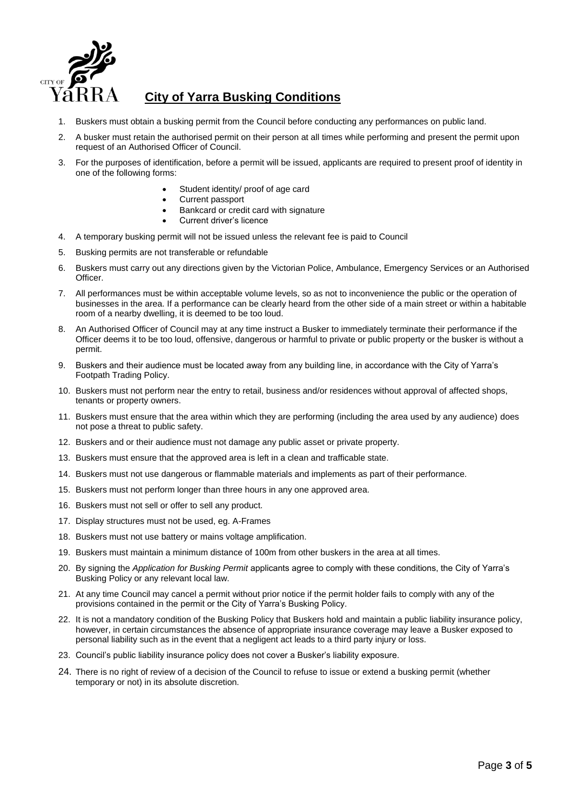

# **City of Yarra Busking Conditions**

- 1. Buskers must obtain a busking permit from the Council before conducting any performances on public land.
- 2. A busker must retain the authorised permit on their person at all times while performing and present the permit upon request of an Authorised Officer of Council.
- 3. For the purposes of identification, before a permit will be issued, applicants are required to present proof of identity in one of the following forms:
	- Student identity/ proof of age card
	- Current passport
	- Bankcard or credit card with signature
	- Current driver's licence
- 4. A temporary busking permit will not be issued unless the relevant fee is paid to Council
- 5. Busking permits are not transferable or refundable
- 6. Buskers must carry out any directions given by the Victorian Police, Ambulance, Emergency Services or an Authorised Officer.
- 7. All performances must be within acceptable volume levels, so as not to inconvenience the public or the operation of businesses in the area. If a performance can be clearly heard from the other side of a main street or within a habitable room of a nearby dwelling, it is deemed to be too loud.
- 8. An Authorised Officer of Council may at any time instruct a Busker to immediately terminate their performance if the Officer deems it to be too loud, offensive, dangerous or harmful to private or public property or the busker is without a permit.
- 9. Buskers and their audience must be located away from any building line, in accordance with the City of Yarra's Footpath Trading Policy.
- 10. Buskers must not perform near the entry to retail, business and/or residences without approval of affected shops, tenants or property owners.
- 11. Buskers must ensure that the area within which they are performing (including the area used by any audience) does not pose a threat to public safety.
- 12. Buskers and or their audience must not damage any public asset or private property.
- 13. Buskers must ensure that the approved area is left in a clean and trafficable state.
- 14. Buskers must not use dangerous or flammable materials and implements as part of their performance.
- 15. Buskers must not perform longer than three hours in any one approved area.
- 16. Buskers must not sell or offer to sell any product.
- 17. Display structures must not be used, eg. A-Frames
- 18. Buskers must not use battery or mains voltage amplification.
- 19. Buskers must maintain a minimum distance of 100m from other buskers in the area at all times.
- 20. By signing the *Application for Busking Permit* applicants agree to comply with these conditions, the City of Yarra's Busking Policy or any relevant local law.
- 21. At any time Council may cancel a permit without prior notice if the permit holder fails to comply with any of the provisions contained in the permit or the City of Yarra's Busking Policy.
- 22. It is not a mandatory condition of the Busking Policy that Buskers hold and maintain a public liability insurance policy, however, in certain circumstances the absence of appropriate insurance coverage may leave a Busker exposed to personal liability such as in the event that a negligent act leads to a third party injury or loss.
- 23. Council's public liability insurance policy does not cover a Busker's liability exposure.
- 24. There is no right of review of a decision of the Council to refuse to issue or extend a busking permit (whether temporary or not) in its absolute discretion.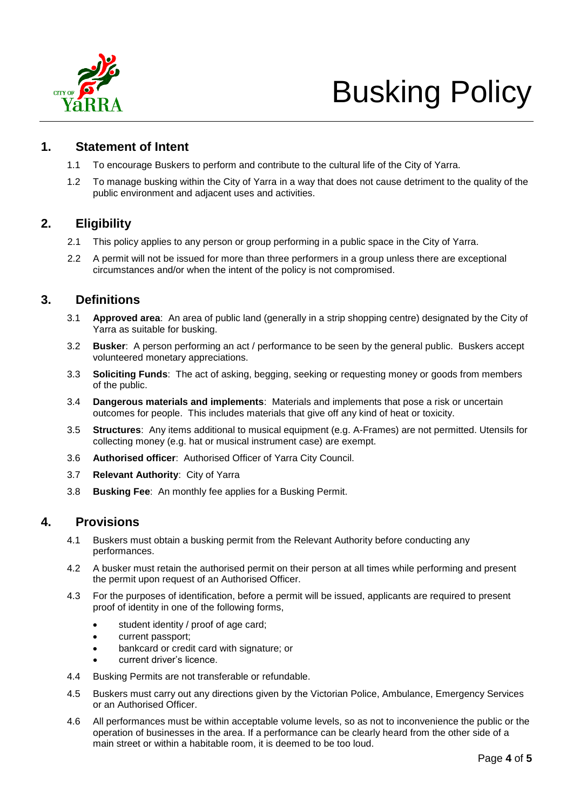

# Busking Policy

# **1. Statement of Intent**

- 1.1 To encourage Buskers to perform and contribute to the cultural life of the City of Yarra.
- 1.2 To manage busking within the City of Yarra in a way that does not cause detriment to the quality of the public environment and adjacent uses and activities.

# **2. Eligibility**

- 2.1 This policy applies to any person or group performing in a public space in the City of Yarra.
- 2.2 A permit will not be issued for more than three performers in a group unless there are exceptional circumstances and/or when the intent of the policy is not compromised.

# **3. Definitions**

- 3.1 **Approved area**: An area of public land (generally in a strip shopping centre) designated by the City of Yarra as suitable for busking.
- 3.2 **Busker**: A person performing an act / performance to be seen by the general public. Buskers accept volunteered monetary appreciations.
- 3.3 **Soliciting Funds**: The act of asking, begging, seeking or requesting money or goods from members of the public.
- 3.4 **Dangerous materials and implements**: Materials and implements that pose a risk or uncertain outcomes for people. This includes materials that give off any kind of heat or toxicity.
- 3.5 **Structures**: Any items additional to musical equipment (e.g. A-Frames) are not permitted. Utensils for collecting money (e.g. hat or musical instrument case) are exempt.
- 3.6 **Authorised officer**: Authorised Officer of Yarra City Council.
- 3.7 **Relevant Authority**: City of Yarra
- 3.8 **Busking Fee**: An monthly fee applies for a Busking Permit.

# **4. Provisions**

- 4.1 Buskers must obtain a busking permit from the Relevant Authority before conducting any performances.
- 4.2 A busker must retain the authorised permit on their person at all times while performing and present the permit upon request of an Authorised Officer.
- 4.3 For the purposes of identification, before a permit will be issued, applicants are required to present proof of identity in one of the following forms,
	- student identity / proof of age card;
	- current passport;
	- bankcard or credit card with signature; or
	- current driver's licence.
- 4.4 Busking Permits are not transferable or refundable.
- 4.5 Buskers must carry out any directions given by the Victorian Police, Ambulance, Emergency Services or an Authorised Officer.
- 4.6 All performances must be within acceptable volume levels, so as not to inconvenience the public or the operation of businesses in the area. If a performance can be clearly heard from the other side of a main street or within a habitable room, it is deemed to be too loud.